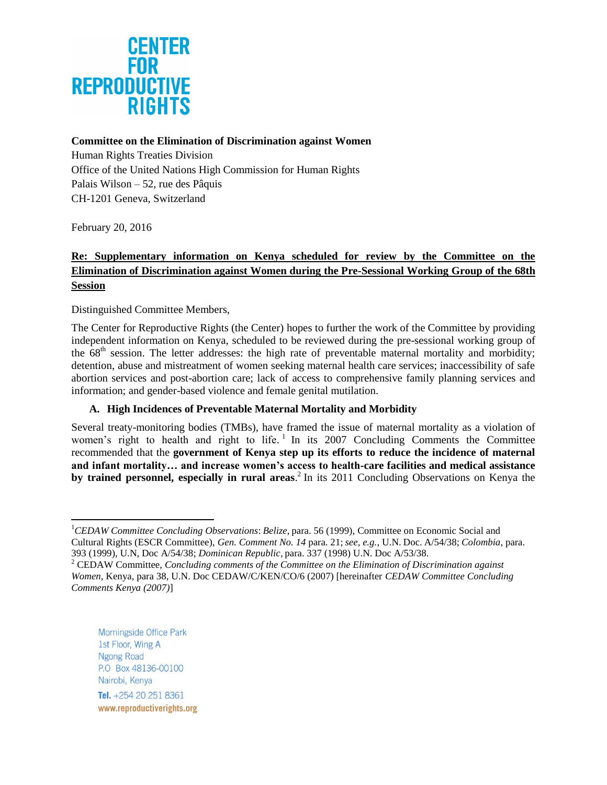

# **Committee on the Elimination of Discrimination against Women**

Human Rights Treaties Division Office of the United Nations High Commission for Human Rights Palais Wilson – 52, rue des Pâquis CH-1201 Geneva, Switzerland

February 20, 2016

 $\overline{\phantom{a}}$ 

# **Re: Supplementary information on Kenya scheduled for review by the Committee on the Elimination of Discrimination against Women during the Pre-Sessional Working Group of the 68th Session**

Distinguished Committee Members,

The Center for Reproductive Rights (the Center) hopes to further the work of the Committee by providing independent information on Kenya, scheduled to be reviewed during the pre-sessional working group of the  $68<sup>th</sup>$  session. The letter addresses: the high rate of preventable maternal mortality and morbidity; detention, abuse and mistreatment of women seeking maternal health care services; inaccessibility of safe abortion services and post-abortion care; lack of access to comprehensive family planning services and information; and gender-based violence and female genital mutilation.

# **A. High Incidences of Preventable Maternal Mortality and Morbidity**

Several treaty-monitoring bodies (TMBs), have framed the issue of maternal mortality as a violation of women's right to health and right to life.<sup>1</sup> In its 2007 Concluding Comments the Committee recommended that the **government of Kenya step up its efforts to reduce the incidence of maternal and infant mortality… and increase women's access to health-care facilities and medical assistance by trained personnel, especially in rural areas**. 2 In its 2011 Concluding Observations on Kenya the

Morningside Office Park 1st Floor, Wing A Ngong Road P.O Box 48136-00100 Nairobi, Kenya Tel. +254 20 251 8361 www.reproductiverights.org

<sup>1</sup>*CEDAW Committee Concluding Observations*: *Belize*, para. 56 (1999), Committee on Economic Social and Cultural Rights (ESCR Committee), *Gen. Comment No. 14* para. 21; *see, e.g.*, U.N. Doc. A/54/38; *Colombia*, para. 393 (1999), U.N, Doc A/54/38; *Dominican Republic,* para. 337 (1998) U.N. Doc A/53/38.

<sup>2</sup> CEDAW Committee, *Concluding comments of the Committee on the Elimination of Discrimination against Women*, Kenya, para 38, U.N. Doc CEDAW/C/KEN/CO/6 (2007) [hereinafter *CEDAW Committee Concluding Comments Kenya (2007)*]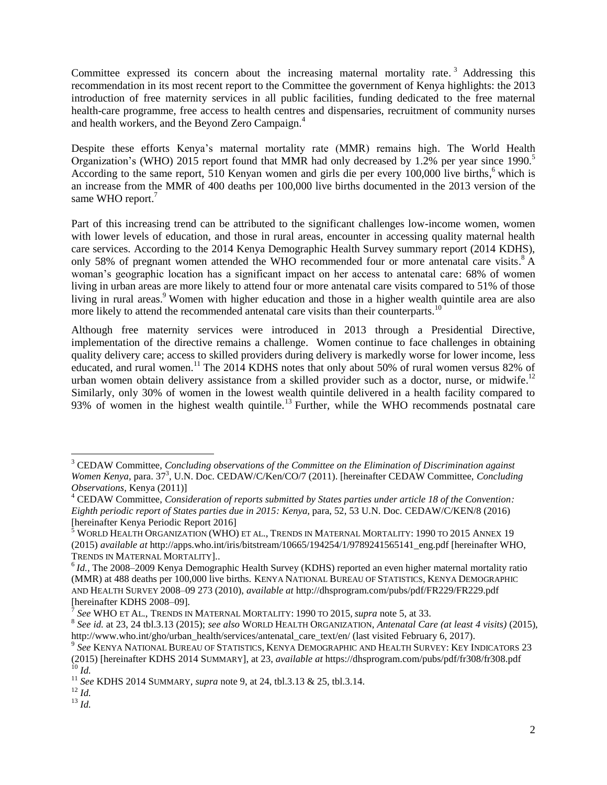Committee expressed its concern about the increasing maternal mortality rate.<sup>3</sup> Addressing this recommendation in its most recent report to the Committee the government of Kenya highlights: the 2013 introduction of free maternity services in all public facilities, funding dedicated to the free maternal health-care programme, free access to health centres and dispensaries, recruitment of community nurses and health workers, and the Beyond Zero Campaign. 4

Despite these efforts Kenya's maternal mortality rate (MMR) remains high. The World Health Organization's (WHO) 2015 report found that MMR had only decreased by 1.2% per year since 1990.<sup>5</sup> According to the same report, 510 Kenyan women and girls die per every 100,000 live births,<sup>6</sup> which is an increase from the MMR of 400 deaths per 100,000 live births documented in the 2013 version of the same WHO report.<sup>7</sup>

Part of this increasing trend can be attributed to the significant challenges low-income women, women with lower levels of education, and those in rural areas, encounter in accessing quality maternal health care services. According to the 2014 Kenya Demographic Health Survey summary report (2014 KDHS), only 58% of pregnant women attended the WHO recommended four or more antenatal care visits.<sup>8</sup> A woman's geographic location has a significant impact on her access to antenatal care: 68% of women living in urban areas are more likely to attend four or more antenatal care visits compared to 51% of those living in rural areas.<sup>9</sup> Women with higher education and those in a higher wealth quintile area are also more likely to attend the recommended antenatal care visits than their counterparts.<sup>10</sup>

Although free maternity services were introduced in 2013 through a Presidential Directive, implementation of the directive remains a challenge. Women continue to face challenges in obtaining quality delivery care; access to skilled providers during delivery is markedly worse for lower income, less educated, and rural women.<sup>11</sup> The 2014 KDHS notes that only about 50% of rural women versus 82% of urban women obtain delivery assistance from a skilled provider such as a doctor, nurse, or midwife.<sup>12</sup> Similarly, only 30% of women in the lowest wealth quintile delivered in a health facility compared to 93% of women in the highest wealth quintile.<sup>13</sup> Further, while the WHO recommends postnatal care

<sup>3</sup> CEDAW Committee, *Concluding observations of the Committee on the Elimination of Discrimination against*  Women *Kenya*, para. 37<sup>3</sup>, U.N. Doc. CEDAW/C/Ken/CO/7 (2011). [hereinafter CEDAW Committee, *Concluding Observations,* Kenya (2011)]

<sup>4</sup> CEDAW Committee, *Consideration of reports submitted by States parties under article 18 of the Convention: Eighth periodic report of States parties due in 2015: Kenya, para, 52, 53 U.N. Doc. CEDAW/C/KEN/8 (2016)* [hereinafter Kenya Periodic Report 2016]

 $^5$  World Health Organization (WHO) et al., Trends in Maternal Mortality: 1990 to 2015 Annex 19 (2015) *available at* http://apps.who.int/iris/bitstream/10665/194254/1/9789241565141\_eng.pdf [hereinafter WHO, TRENDS IN MATERNAL MORTALITY]..

<sup>&</sup>lt;sup>6</sup> *Id.*, The 2008–2009 Kenya Demographic Health Survey (KDHS) reported an even higher maternal mortality ratio (MMR) at 488 deaths per 100,000 live births. KENYA NATIONAL BUREAU OF STATISTICS, KENYA DEMOGRAPHIC AND HEALTH SURVEY 2008–09 273 (2010), *available at* http://dhsprogram.com/pubs/pdf/FR229/FR229.pdf [hereinafter KDHS 2008–09].

*See* WHO ET AL., TRENDS IN MATERNAL MORTALITY: 1990 TO 2015, *supra* note 5, at 33.

<sup>8</sup> *See id.* at 23, 24 tbl.3.13 (2015); *see also* WORLD HEALTH ORGANIZATION, *Antenatal Care (at least 4 visits)* (2015), http://www.who.int/gho/urban\_health/services/antenatal\_care\_text/en/ (last visited February 6, 2017).

<sup>9</sup> *See* KENYA NATIONAL BUREAU OF STATISTICS, KENYA DEMOGRAPHIC AND HEALTH SURVEY: KEY INDICATORS 23 (2015) [hereinafter KDHS 2014 SUMMARY], at 23, *available at* https://dhsprogram.com/pubs/pdf/fr308/fr308.pdf

<sup>10</sup> *Id.*

<sup>11</sup> *See* KDHS 2014 SUMMARY, *supra* note 9, at 24, tbl.3.13 & 25, tbl.3.14.

 $^{12}$  *Id.* 

<sup>13</sup> *Id.*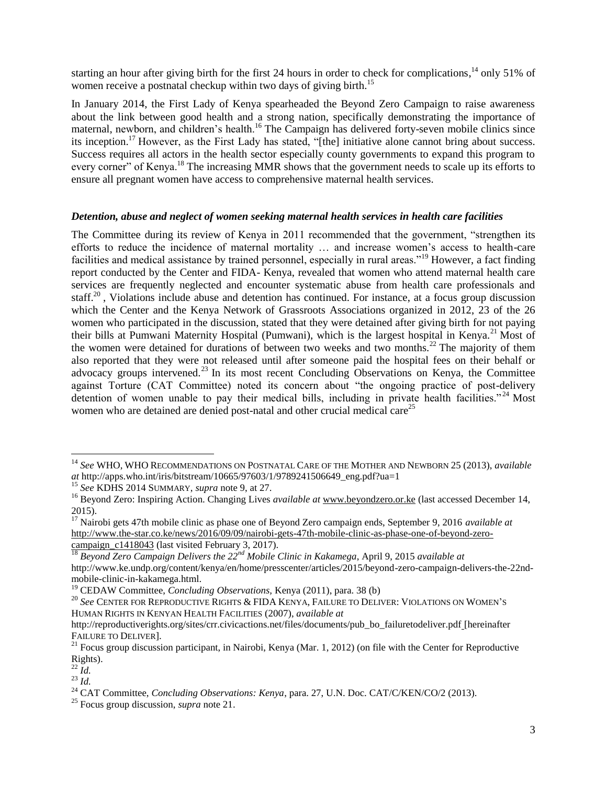starting an hour after giving birth for the first 24 hours in order to check for complications,<sup>14</sup> only 51% of women receive a postnatal checkup within two days of giving birth.<sup>15</sup>

In January 2014, the First Lady of Kenya spearheaded the Beyond Zero Campaign to raise awareness about the link between good health and a strong nation, specifically demonstrating the importance of maternal, newborn, and children's health.<sup>16</sup> The Campaign has delivered forty-seven mobile clinics since its inception. <sup>17</sup> However, as the First Lady has stated, "[the] initiative alone cannot bring about success. Success requires all actors in the health sector especially county governments to expand this program to every corner" of Kenya.<sup>18</sup> The increasing MMR shows that the government needs to scale up its efforts to ensure all pregnant women have access to comprehensive maternal health services.

#### *Detention, abuse and neglect of women seeking maternal health services in health care facilities*

The Committee during its review of Kenya in 2011 recommended that the government, "strengthen its efforts to reduce the incidence of maternal mortality … and increase women's access to health-care facilities and medical assistance by trained personnel, especially in rural areas."<sup>19</sup> However, a fact finding report conducted by the Center and FIDA- Kenya, revealed that women who attend maternal health care services are frequently neglected and encounter systematic abuse from health care professionals and staff.<sup>20</sup>, Violations include abuse and detention has continued. For instance, at a focus group discussion which the Center and the Kenya Network of Grassroots Associations organized in 2012, 23 of the 26 women who participated in the discussion, stated that they were detained after giving birth for not paying their bills at Pumwani Maternity Hospital (Pumwani), which is the largest hospital in Kenya.<sup>21</sup> Most of the women were detained for durations of between two weeks and two months.<sup>22</sup> The majority of them also reported that they were not released until after someone paid the hospital fees on their behalf or advocacy groups intervened.<sup>23</sup> In its most recent Concluding Observations on Kenya, the Committee against Torture (CAT Committee) noted its concern about "the ongoing practice of post-delivery detention of women unable to pay their medical bills, including in private health facilities."<sup>24</sup> Most women who are detained are denied post-natal and other crucial medical care<sup>25</sup>

<sup>14</sup> *See* WHO, WHO RECOMMENDATIONS ON POSTNATAL CARE OF THE MOTHER AND NEWBORN 25 (2013), *available at* http://apps.who.int/iris/bitstream/10665/97603/1/9789241506649\_eng.pdf?ua=1

<sup>15</sup> *See* KDHS 2014 SUMMARY, *supra* note 9, at 27.

<sup>&</sup>lt;sup>16</sup> Beyond Zero: Inspiring Action. Changing Lives *available at* [www.beyondzero.or.ke](http://www.beyondzero.or.ke/) (last accessed December 14, 2015).

<sup>&</sup>lt;sup>17</sup> Nairobi gets 47th mobile clinic as phase one of Beyond Zero campaign ends, September 9, 2016 *available at* [http://www.the-star.co.ke/news/2016/09/09/nairobi-gets-47th-mobile-clinic-as-phase-one-of-beyond-zero](http://www.the-star.co.ke/news/2016/09/09/nairobi-gets-47th-mobile-clinic-as-phase-one-of-beyond-zero-campaign_c1418043)[campaign\\_c1418043](http://www.the-star.co.ke/news/2016/09/09/nairobi-gets-47th-mobile-clinic-as-phase-one-of-beyond-zero-campaign_c1418043) (last visited February 3, 2017).

<sup>18</sup> *Beyond Zero Campaign Delivers the 22nd Mobile Clinic in Kakamega*, April 9, 2015 *available at*  http://www.ke.undp.org/content/kenya/en/home/presscenter/articles/2015/beyond-zero-campaign-delivers-the-22ndmobile-clinic-in-kakamega.html.

<sup>19</sup> CEDAW Committee, *Concluding Observations,* Kenya (2011), para. 38 (b)

<sup>20</sup> *See* CENTER FOR REPRODUCTIVE RIGHTS & FIDA KENYA, FAILURE TO DELIVER: VIOLATIONS ON WOMEN'<sup>S</sup> HUMAN RIGHTS IN KENYAN HEALTH FACILITIES (2007), *available at*

http://reproductiverights.org/sites/crr.civicactions.net/files/documents/pub\_bo\_failuretodeliver.pdf [hereinafter FAILURE TO DELIVER].

<sup>&</sup>lt;sup>21</sup> Focus group discussion participant, in Nairobi, Kenya (Mar. 1, 2012) (on file with the Center for Reproductive Rights).

 $\overline{22}$   $\overline{Id}$ .  $\frac{23}{1}$ 

<sup>&</sup>lt;sup>24</sup> CAT Committee, *Concluding Observations: Kenya*, para. 27, U.N. Doc. CAT/C/KEN/CO/2 (2013).

<sup>25</sup> Focus group discussion, *supra* note 21.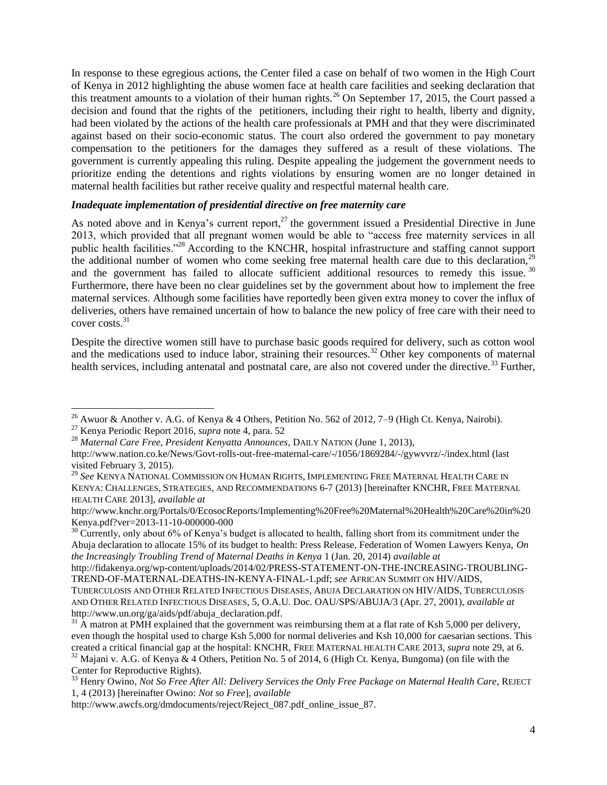In response to these egregious actions, the Center filed a case on behalf of two women in the High Court of Kenya in 2012 highlighting the abuse women face at health care facilities and seeking declaration that this treatment amounts to a violation of their human rights.<sup>26</sup> On September 17, 2015, the Court passed a decision and found that the rights of the petitioners, including their right to health, liberty and dignity, had been violated by the actions of the health care professionals at PMH and that they were discriminated against based on their socio-economic status. The court also ordered the government to pay monetary compensation to the petitioners for the damages they suffered as a result of these violations. The government is currently appealing this ruling. Despite appealing the judgement the government needs to prioritize ending the detentions and rights violations by ensuring women are no longer detained in maternal health facilities but rather receive quality and respectful maternal health care.

#### *Inadequate implementation of presidential directive on free maternity care*

As noted above and in Kenya's current report,<sup>27</sup> the government issued a Presidential Directive in June 2013, which provided that all pregnant women would be able to "access free maternity services in all public health facilities."<sup>28</sup> According to the KNCHR, hospital infrastructure and staffing cannot support the additional number of women who come seeking free maternal health care due to this declaration.<sup>29</sup> and the government has failed to allocate sufficient additional resources to remedy this issue.<sup>30</sup> Furthermore, there have been no clear guidelines set by the government about how to implement the free maternal services. Although some facilities have reportedly been given extra money to cover the influx of deliveries, others have remained uncertain of how to balance the new policy of free care with their need to cover costs.<sup>31</sup>

Despite the directive women still have to purchase basic goods required for delivery, such as cotton wool and the medications used to induce labor, straining their resources.<sup>32</sup> Other key components of maternal health services, including antenatal and postnatal care, are also not covered under the directive.<sup>33</sup> Further,

 $\overline{\phantom{a}}$ 

<sup>&</sup>lt;sup>26</sup> Awuor & Another v. A.G. of Kenya & 4 Others, Petition No. 562 of 2012, 7–9 (High Ct. Kenya, Nairobi).

<sup>27</sup> Kenya Periodic Report 2016, *supra* note 4, para. 52

<sup>28</sup> *Maternal Care Free, President Kenyatta Announces*, DAILY NATION (June 1, 2013),

http://www.nation.co.ke/News/Govt-rolls-out-free-maternal-care/-/1056/1869284/-/gywvvrz/-/index.html (last visited February 3, 2015).

<sup>29</sup> *See* KENYA NATIONAL COMMISSION ON HUMAN RIGHTS, IMPLEMENTING FREE MATERNAL HEALTH CARE IN KENYA: CHALLENGES, STRATEGIES, AND RECOMMENDATIONS 6-7 (2013) [hereinafter KNCHR, FREE MATERNAL HEALTH CARE 2013], *available at*

http://www.knchr.org/Portals/0/EcosocReports/Implementing%20Free%20Maternal%20Health%20Care%20in%20 Kenya.pdf?ver=2013-11-10-000000-000

 $30$  Currently, only about 6% of Kenya's budget is allocated to health, falling short from its commitment under the Abuja declaration to allocate 15% of its budget to health: Press Release, Federation of Women Lawyers Kenya, *On the Increasingly Troubling Trend of Maternal Deaths in Kenya* 1 (Jan. 20, 2014) *available at* 

http://fidakenya.org/wp-content/uploads/2014/02/PRESS-STATEMENT-ON-THE-INCREASING-TROUBLING-TREND-OF-MATERNAL-DEATHS-IN-KENYA-FINAL-1.pdf; *see* AFRICAN SUMMIT ON HIV/AIDS, TUBERCULOSIS AND OTHER RELATED INFECTIOUS DISEASES, ABUJA DECLARATION ON HIV/AIDS, TUBERCULOSIS AND OTHER RELATED INFECTIOUS DISEASES, 5, O.A.U. Doc. OAU/SPS/ABUJA/3 (Apr. 27, 2001), *available at*  http://www.un.org/ga/aids/pdf/abuja\_declaration.pdf*.*

 $31$  A matron at PMH explained that the government was reimbursing them at a flat rate of Ksh 5,000 per delivery, even though the hospital used to charge Ksh 5,000 for normal deliveries and Ksh 10,000 for caesarian sections. This created a critical financial gap at the hospital: KNCHR, FREE MATERNAL HEALTH CARE 2013, *supra* note 29, at 6. <sup>32</sup> Majani v. A.G. of Kenya & 4 Others, Petition No. 5 of 2014, 6 (High Ct. Kenya, Bungoma) (on file with the Center for Reproductive Rights).

<sup>33</sup> Henry Owino, *Not So Free After All: Delivery Services the Only Free Package on Maternal Health Care*, REJECT 1, 4 (2013) [hereinafter Owino: *Not so Free*], *available* 

http://www.awcfs.org/dmdocuments/reject/Reject\_087.pdf\_online\_issue\_87.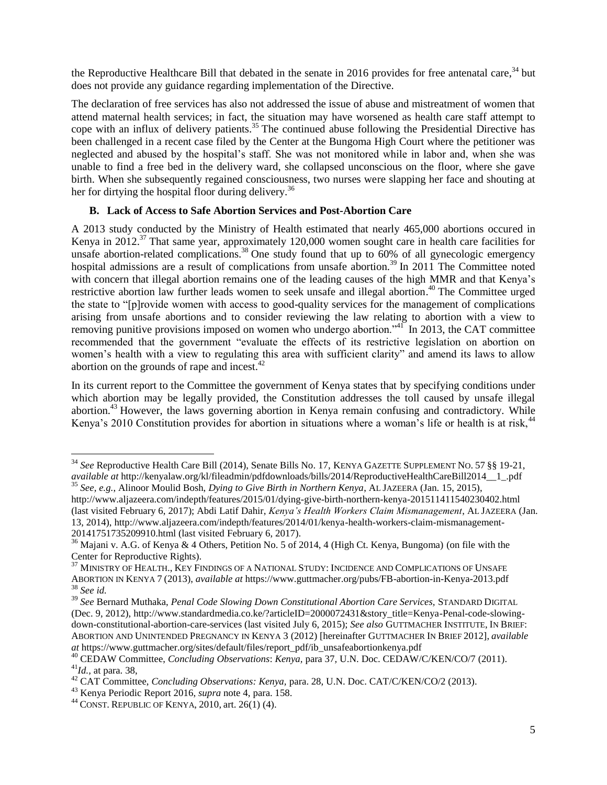the Reproductive Healthcare Bill that debated in the senate in 2016 provides for free antenatal care,  $34$  but does not provide any guidance regarding implementation of the Directive.

The declaration of free services has also not addressed the issue of abuse and mistreatment of women that attend maternal health services; in fact, the situation may have worsened as health care staff attempt to cope with an influx of delivery patients.<sup>35</sup> The continued abuse following the Presidential Directive has been challenged in a recent case filed by the Center at the Bungoma High Court where the petitioner was neglected and abused by the hospital's staff. She was not monitored while in labor and, when she was unable to find a free bed in the delivery ward, she collapsed unconscious on the floor, where she gave birth. When she subsequently regained consciousness, two nurses were slapping her face and shouting at her for dirtying the hospital floor during delivery.<sup>36</sup>

# **B. Lack of Access to Safe Abortion Services and Post-Abortion Care**

A 2013 study conducted by the Ministry of Health estimated that nearly 465,000 abortions occured in Kenya in 2012.<sup>37</sup> That same year, approximately 120,000 women sought care in health care facilities for unsafe abortion-related complications.<sup>38</sup> One study found that up to 60% of all gynecologic emergency hospital admissions are a result of complications from unsafe abortion.<sup>39</sup> In 2011 The Committee noted with concern that illegal abortion remains one of the leading causes of the high MMR and that Kenya's restrictive abortion law further leads women to seek unsafe and illegal abortion.<sup>40</sup> The Committee urged the state to "[p]rovide women with access to good-quality services for the management of complications arising from unsafe abortions and to consider reviewing the law relating to abortion with a view to removing punitive provisions imposed on women who undergo abortion."<sup>41</sup> In 2013, the CAT committee recommended that the government "evaluate the effects of its restrictive legislation on abortion on women's health with a view to regulating this area with sufficient clarity" and amend its laws to allow abortion on the grounds of rape and incest.<sup>42</sup>

In its current report to the Committee the government of Kenya states that by specifying conditions under which abortion may be legally provided, the Constitution addresses the toll caused by unsafe illegal abortion.<sup>43</sup> However, the laws governing abortion in Kenya remain confusing and contradictory. While Kenya's 2010 Constitution provides for abortion in situations where a woman's life or health is at risk.<sup>44</sup>

<sup>34</sup> *See* Reproductive Health Care Bill (2014), Senate Bills No. 17, KENYA GAZETTE SUPPLEMENT NO. 57 §§ 19-21, *available at http://kenyalaw.org/kl/fileadmin/pdfdownloads/bills/2014/ReproductiveHealthCareBill2014\_1\_.pdf* <sup>35</sup> *See, e.g.*, Alinoor Moulid Bosh, *Dying to Give Birth in Northern Kenya*, AL JAZEERA (Jan. 15, 2015),

http://www.aljazeera.com/indepth/features/2015/01/dying-give-birth-northern-kenya-201511411540230402.html (last visited February 6, 2017); Abdi Latif Dahir, *Kenya's Health Workers Claim Mismanagement*, AL JAZEERA (Jan. 13, 2014), http://www.aljazeera.com/indepth/features/2014/01/kenya-health-workers-claim-mismanagement-20141751735209910.html (last visited February 6, 2017).

<sup>&</sup>lt;sup>36</sup> Majani v. A.G. of Kenya & 4 Others, Petition No. 5 of 2014, 4 (High Ct. Kenya, Bungoma) (on file with the Center for Reproductive Rights).

<sup>&</sup>lt;sup>37</sup> MINISTRY OF HEALTH., KEY FINDINGS OF A NATIONAL STUDY: INCIDENCE AND COMPLICATIONS OF UNSAFE ABORTION IN KENYA 7 (2013), *available at* https://www.guttmacher.org/pubs/FB-abortion-in-Kenya-2013.pdf <sup>38</sup> *See id.*

<sup>39</sup> *See* Bernard Muthaka, *Penal Code Slowing Down Constitutional Abortion Care Services,* STANDARD DIGITAL (Dec. 9, 2012), http://www.standardmedia.co.ke/?articleID=2000072431&story\_title=Kenya-Penal-code-slowingdown-constitutional-abortion-care-services (last visited July 6, 2015); *See also* GUTTMACHER INSTITUTE, IN BRIEF: ABORTION AND UNINTENDED PREGNANCY IN KENYA 3 (2012) [hereinafter GUTTMACHER IN BRIEF 2012], *available at* https://www.guttmacher.org/sites/default/files/report\_pdf/ib\_unsafeabortionkenya.pdf

<sup>40</sup> CEDAW Committee, *Concluding Observations*: *Kenya,* para 37*,* U.N. Doc. CEDAW/C/KEN/CO/7 (2011). <sup>41</sup>*Id.,* at para. 38,

<sup>42</sup> CAT Committee, *Concluding Observations: Kenya,* para. 28, U.N. Doc. CAT/C/KEN/CO/2 (2013).

<sup>43</sup> Kenya Periodic Report 2016, *supra* note 4, para. 158.

<sup>44</sup> CONST. REPUBLIC OF KENYA, 2010, art. 26(1) (4).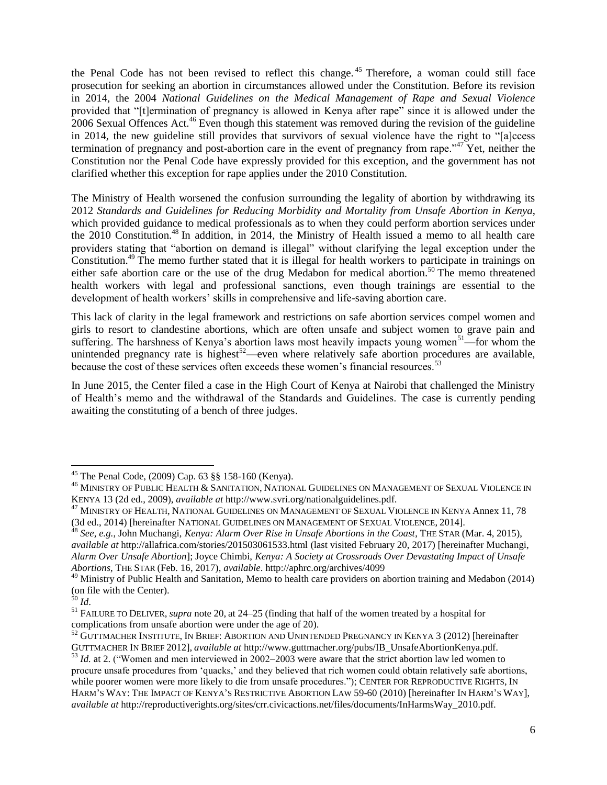the Penal Code has not been revised to reflect this change.<sup>45</sup> Therefore, a woman could still face prosecution for seeking an abortion in circumstances allowed under the Constitution. Before its revision in 2014, the 2004 *National Guidelines on the Medical Management of Rape and Sexual Violence*  provided that "[t]ermination of pregnancy is allowed in Kenya after rape" since it is allowed under the 2006 Sexual Offences Act.<sup>46</sup> Even though this statement was removed during the revision of the guideline in 2014, the new guideline still provides that survivors of sexual violence have the right to "[a]ccess termination of pregnancy and post-abortion care in the event of pregnancy from rape."<sup>47</sup> Yet, neither the Constitution nor the Penal Code have expressly provided for this exception, and the government has not clarified whether this exception for rape applies under the 2010 Constitution.

The Ministry of Health worsened the confusion surrounding the legality of abortion by withdrawing its 2012 *Standards and Guidelines for Reducing Morbidity and Mortality from Unsafe Abortion in Kenya*, which provided guidance to medical professionals as to when they could perform abortion services under the 2010 Constitution.<sup>48</sup> In addition, in 2014, the Ministry of Health issued a memo to all health care providers stating that "abortion on demand is illegal" without clarifying the legal exception under the Constitution.<sup>49</sup> The memo further stated that it is illegal for health workers to participate in trainings on either safe abortion care or the use of the drug Medabon for medical abortion.<sup>50</sup> The memo threatened health workers with legal and professional sanctions, even though trainings are essential to the development of health workers' skills in comprehensive and life-saving abortion care.

This lack of clarity in the legal framework and restrictions on safe abortion services compel women and girls to resort to clandestine abortions, which are often unsafe and subject women to grave pain and suffering. The harshness of Kenya's abortion laws most heavily impacts young women<sup>51</sup>—for whom the unintended pregnancy rate is highest<sup>52</sup>—even where relatively safe abortion procedures are available, because the cost of these services often exceeds these women's financial resources.<sup>53</sup>

In June 2015, the Center filed a case in the High Court of Kenya at Nairobi that challenged the Ministry of Health's memo and the withdrawal of the Standards and Guidelines. The case is currently pending awaiting the constituting of a bench of three judges.

 $\overline{a}$ 

<sup>45</sup> The Penal Code, (2009) Cap. 63 §§ 158-160 (Kenya).

 $^{46}$  Ministry of Public Health & Sanitation, National Guidelines on Management of Sexual Violence in KENYA 13 (2d ed., 2009), *available at* http://www.svri.org/nationalguidelines.pdf.

<sup>47</sup> MINISTRY OF HEALTH, NATIONAL GUIDELINES ON MANAGEMENT OF SEXUAL VIOLENCE IN KENYA Annex 11, 78 (3d ed., 2014) [hereinafter NATIONAL GUIDELINES ON MANAGEMENT OF SEXUAL VIOLENCE, 2014].

<sup>48</sup> *See, e.g.*, John Muchangi, *Kenya: Alarm Over Rise in Unsafe Abortions in the Coast*, THE STAR (Mar. 4, 2015), *available at* http://allafrica.com/stories/201503061533.html (last visited February 20, 2017) [hereinafter Muchangi, *Alarm Over Unsafe Abortion*]; Joyce Chimbi, *Kenya: A Society at Crossroads Over Devastating Impact of Unsafe Abortions*, THE STAR (Feb. 16, 2017), *available*. http://aphrc.org/archives/4099

<sup>&</sup>lt;sup>49</sup> Ministry of Public Health and Sanitation, Memo to health care providers on abortion training and Medabon (2014) (on file with the Center).

<sup>50</sup> *Id*.

<sup>51</sup> FAILURE TO DELIVER, *supra* note 20, at 24–25 (finding that half of the women treated by a hospital for complications from unsafe abortion were under the age of 20).

 $^{52}$  GUTTMACHER INSTITUTE, IN BRIEF: ABORTION AND UNINTENDED PREGNANCY IN KENYA 3 (2012) [hereinafter GUTTMACHER IN BRIEF 2012], *available at* http://www.guttmacher.org/pubs/IB\_UnsafeAbortionKenya.pdf.

<sup>53</sup> *Id.* at 2. ("Women and men interviewed in 2002–2003 were aware that the strict abortion law led women to procure unsafe procedures from 'quacks,' and they believed that rich women could obtain relatively safe abortions, while poorer women were more likely to die from unsafe procedures."); CENTER FOR REPRODUCTIVE RIGHTS, IN HARM'S WAY: THE IMPACT OF KENYA'S RESTRICTIVE ABORTION LAW 59-60 (2010) [hereinafter IN HARM'S WAY], *available at* http://reproductiverights.org/sites/crr.civicactions.net/files/documents/InHarmsWay\_2010.pdf.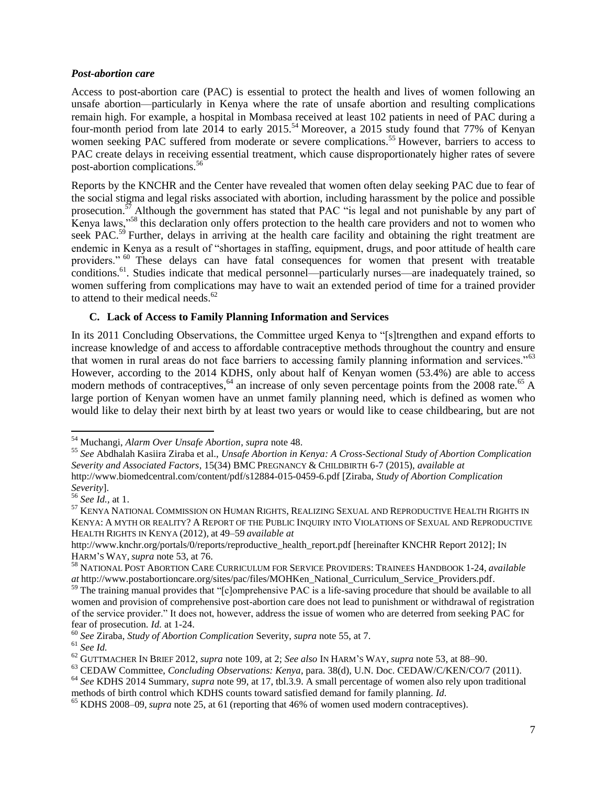#### *Post-abortion care*

Access to post-abortion care (PAC) is essential to protect the health and lives of women following an unsafe abortion—particularly in Kenya where the rate of unsafe abortion and resulting complications remain high. For example, a hospital in Mombasa received at least 102 patients in need of PAC during a four-month period from late 2014 to early 2015.<sup>54</sup> Moreover, a 2015 study found that 77% of Kenyan women seeking PAC suffered from moderate or severe complications.<sup>55</sup> However, barriers to access to PAC create delays in receiving essential treatment, which cause disproportionately higher rates of severe post-abortion complications.<sup>56</sup>

Reports by the KNCHR and the Center have revealed that women often delay seeking PAC due to fear of the social stigma and legal risks associated with abortion, including harassment by the police and possible prosecution.<sup>57</sup> Although the government has stated that PAC "is legal and not punishable by any part of Kenya laws,"<sup>58</sup> this declaration only offers protection to the health care providers and not to women who seek PAC.<sup>59</sup> Further, delays in arriving at the health care facility and obtaining the right treatment are endemic in Kenya as a result of "shortages in staffing, equipment, drugs, and poor attitude of health care providers." <sup>60</sup> These delays can have fatal consequences for women that present with treatable conditions.<sup>61</sup>. Studies indicate that medical personnel—particularly nurses—are inadequately trained, so women suffering from complications may have to wait an extended period of time for a trained provider to attend to their medical needs. $62$ 

## **C. Lack of Access to Family Planning Information and Services**

In its 2011 Concluding Observations, the Committee urged Kenya to "[s]trengthen and expand efforts to increase knowledge of and access to affordable contraceptive methods throughout the country and ensure that women in rural areas do not face barriers to accessing family planning information and services."<sup>63</sup> However, according to the 2014 KDHS, only about half of Kenyan women (53.4%) are able to access modern methods of contraceptives,  $^{64}$  an increase of only seven percentage points from the 2008 rate.<sup>65</sup> A large portion of Kenyan women have an unmet family planning need, which is defined as women who would like to delay their next birth by at least two years or would like to cease childbearing, but are not

 $\overline{\phantom{a}}$ <sup>54</sup> Muchangi, *Alarm Over Unsafe Abortion*, *supra* note 48.

<sup>55</sup> *See* Abdhalah Kasiira Ziraba et al., *Unsafe Abortion in Kenya: A Cross-Sectional Study of Abortion Complication Severity and Associated Factors*, 15(34) BMC PREGNANCY & CHILDBIRTH 6-7 (2015), *available at* http://www.biomedcentral.com/content/pdf/s12884-015-0459-6.pdf [Ziraba, *Study of Abortion Complication Severity*].

<sup>56</sup> *See Id.,* at 1.

<sup>57</sup> KENYA NATIONAL COMMISSION ON HUMAN RIGHTS, REALIZING SEXUAL AND REPRODUCTIVE HEALTH RIGHTS IN KENYA: A MYTH OR REALITY? A REPORT OF THE PUBLIC INQUIRY INTO VIOLATIONS OF SEXUAL AND REPRODUCTIVE HEALTH RIGHTS IN KENYA (2012)*,* at 49–59 *available at*

http://www.knchr.org/portals/0/reports/reproductive\_health\_report.pdf [hereinafter KNCHR Report 2012]; IN HARM'S WAY, *supra* note 53, at 76.

<sup>58</sup> NATIONAL POST ABORTION CARE CURRICULUM FOR SERVICE PROVIDERS: TRAINEES HANDBOOK 1-24, *available at* http://www.postabortioncare.org/sites/pac/files/MOHKen\_National\_Curriculum\_Service\_Providers.pdf.

<sup>&</sup>lt;sup>59</sup> The training manual provides that "[c]omprehensive PAC is a life-saving procedure that should be available to all women and provision of comprehensive post-abortion care does not lead to punishment or withdrawal of registration of the service provider." It does not, however, address the issue of women who are deterred from seeking PAC for fear of prosecution. *Id.* at 1-24.

<sup>60</sup> *See* Ziraba, *Study of Abortion Complication* Severity, *supra* note 55, at 7.

<sup>61</sup> *See Id.*

<sup>62</sup> GUTTMACHER IN BRIEF 2012, *supra* note 109, at 2; *See also* IN HARM'S WAY, *supra* note 53, at 88–90.

<sup>63</sup> CEDAW Committee, *Concluding Observations: Kenya*, para. 38(d), U.N. Doc. CEDAW/C/KEN/CO/7 (2011). <sup>64</sup> *See* KDHS 2014 Summary, *supra* note 99, at 17, tbl.3.9. A small percentage of women also rely upon traditional

methods of birth control which KDHS counts toward satisfied demand for family planning. *Id.*

<sup>65</sup> KDHS 2008–09, *supra* note 25, at 61 (reporting that 46% of women used modern contraceptives).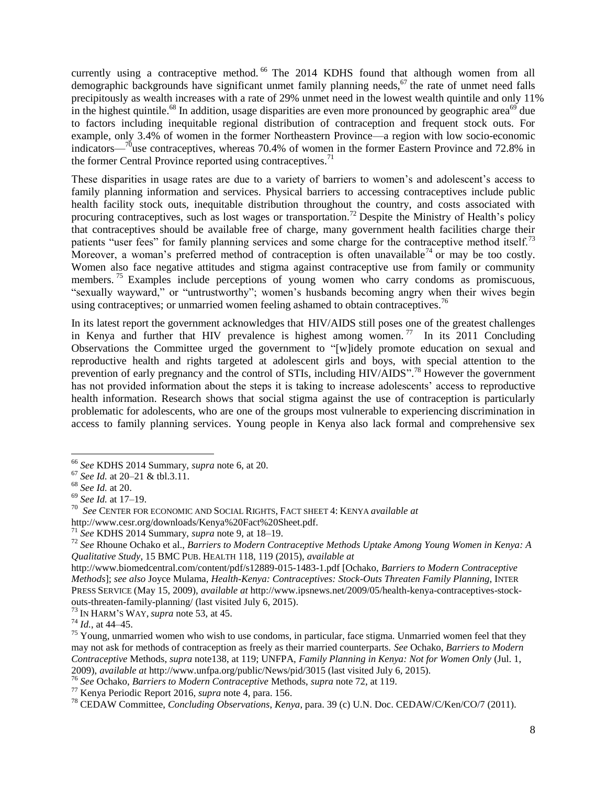currently using a contraceptive method. <sup>66</sup> The 2014 KDHS found that although women from all demographic backgrounds have significant unmet family planning needs,  $67$  the rate of unmet need falls precipitously as wealth increases with a rate of 29% unmet need in the lowest wealth quintile and only 11% in the highest quintile.<sup>68</sup> In addition, usage disparities are even more pronounced by geographic area<sup>69</sup> due to factors including inequitable regional distribution of contraception and frequent stock outs. For example, only 3.4% of women in the former Northeastern Province—a region with low socio-economic indicators— $\frac{70}{128}$  contraceptives, whereas 70.4% of women in the former Eastern Province and 72.8% in the former Central Province reported using contraceptives.<sup>71</sup>

These disparities in usage rates are due to a variety of barriers to women's and adolescent's access to family planning information and services. Physical barriers to accessing contraceptives include public health facility stock outs, inequitable distribution throughout the country, and costs associated with procuring contraceptives, such as lost wages or transportation.<sup>72</sup> Despite the Ministry of Health's policy that contraceptives should be available free of charge, many government health facilities charge their patients "user fees" for family planning services and some charge for the contraceptive method itself.<sup>73</sup> Moreover, a woman's preferred method of contraception is often unavailable<sup>74</sup> or may be too costly. Women also face negative attitudes and stigma against contraceptive use from family or community members.<sup>75</sup> Examples include perceptions of young women who carry condoms as promiscuous, "sexually wayward," or "untrustworthy"; women's husbands becoming angry when their wives begin using contraceptives; or unmarried women feeling ashamed to obtain contraceptives.<sup>76</sup>

In its latest report the government acknowledges that HIV/AIDS still poses one of the greatest challenges in Kenya and further that HIV prevalence is highest among women.<sup>77</sup> In its 2011 Concluding Observations the Committee urged the government to "[w]idely promote education on sexual and reproductive health and rights targeted at adolescent girls and boys, with special attention to the prevention of early pregnancy and the control of STIs, including HIV/AIDS".<sup>78</sup> However the government has not provided information about the steps it is taking to increase adolescents' access to reproductive health information. Research shows that social stigma against the use of contraception is particularly problematic for adolescents, who are one of the groups most vulnerable to experiencing discrimination in access to family planning services. Young people in Kenya also lack formal and comprehensive sex

l

<sup>73</sup> IN HARM'S WAY, *supra* note 53, at 45.

<sup>66</sup> *See* KDHS 2014 Summary, *supra* note 6, at 20.

<sup>67</sup> *See Id.* at 20–21 & tbl.3.11.

<sup>68</sup> *See Id.* at 20.

<sup>69</sup> *See Id.* at 17–19.

<sup>70</sup> *See* CENTER FOR ECONOMIC AND SOCIAL RIGHTS, FACT SHEET 4: KENYA *available at* 

http://www.cesr.org/downloads/Kenya%20Fact%20Sheet.pdf.

<sup>71</sup> *See* KDHS 2014 Summary, *supra* note 9, at 18–19.

<sup>72</sup> *See* Rhoune Ochako et al., *Barriers to Modern Contraceptive Methods Uptake Among Young Women in Kenya: A Qualitative Study*, 15 BMC PUB. HEALTH 118, 119 (2015), *available at*

http://www.biomedcentral.com/content/pdf/s12889-015-1483-1.pdf [Ochako, *Barriers to Modern Contraceptive Methods*]; *see also* Joyce Mulama, *Health-Kenya: Contraceptives: Stock-Outs Threaten Family Planning*, INTER PRESS SERVICE (May 15, 2009), *available at* http://www.ipsnews.net/2009/05/health-kenya-contraceptives-stockouts-threaten-family-planning/ (last visited July 6, 2015).

<sup>74</sup> *Id.*, at 44–45.

<sup>&</sup>lt;sup>75</sup> Young, unmarried women who wish to use condoms, in particular, face stigma. Unmarried women feel that they may not ask for methods of contraception as freely as their married counterparts. *See* Ochako, *Barriers to Modern Contraceptive* Methods, *supra* note138, at 119; UNFPA, *Family Planning in Kenya: Not for Women Only* (Jul. 1, 2009), *available at* http://www.unfpa.org/public/News/pid/3015 (last visited July 6, 2015).

<sup>76</sup> *See* Ochako, *Barriers to Modern Contraceptive* Methods, *supra* note 72, at 119.

<sup>77</sup> Kenya Periodic Report 2016, *supra* note 4, para. 156.

<sup>78</sup> CEDAW Committee, *Concluding Observations*, *Kenya*, para. 39 (c) U.N. Doc. CEDAW/C/Ken/CO/7 (2011).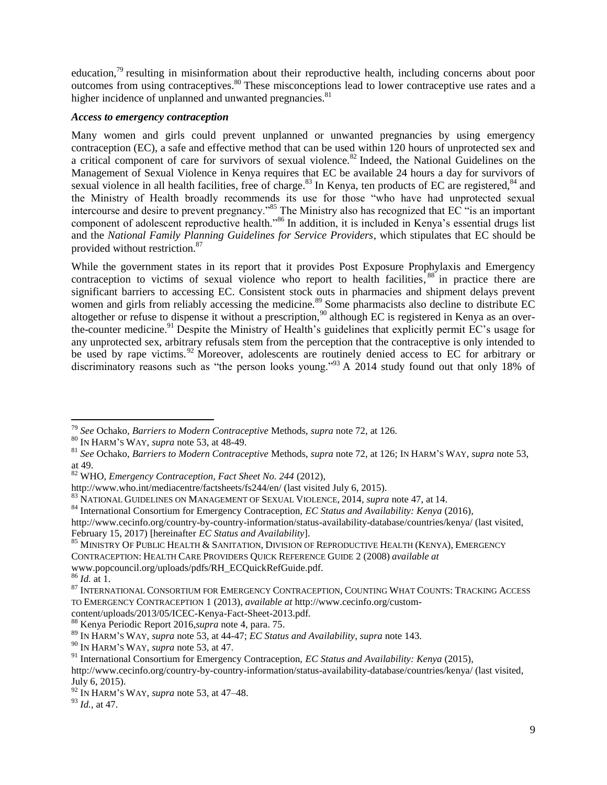education, $^{79}$  resulting in misinformation about their reproductive health, including concerns about poor outcomes from using contraceptives.<sup>80</sup> These misconceptions lead to lower contraceptive use rates and a higher incidence of unplanned and unwanted pregnancies.<sup>81</sup>

#### *Access to emergency contraception*

Many women and girls could prevent unplanned or unwanted pregnancies by using emergency contraception (EC), a safe and effective method that can be used within 120 hours of unprotected sex and a critical component of care for survivors of sexual violence.<sup>82</sup> Indeed, the National Guidelines on the Management of Sexual Violence in Kenya requires that EC be available 24 hours a day for survivors of sexual violence in all health facilities, free of charge.<sup>83</sup> In Kenya, ten products of EC are registered, $84$  and the Ministry of Health broadly recommends its use for those "who have had unprotected sexual intercourse and desire to prevent pregnancy."<sup>85</sup> The Ministry also has recognized that EC "is an important component of adolescent reproductive health."<sup>86</sup> In addition, it is included in Kenya's essential drugs list and the *National Family Planning Guidelines for Service Providers*, which stipulates that EC should be provided without restriction.<sup>87</sup>

While the government states in its report that it provides Post Exposure Prophylaxis and Emergency contraception to victims of sexual violence who report to health facilities,<sup>88</sup> in practice there are significant barriers to accessing EC. Consistent stock outs in pharmacies and shipment delays prevent women and girls from reliably accessing the medicine.<sup>89</sup> Some pharmacists also decline to distribute EC altogether or refuse to dispense it without a prescription,<sup>90</sup> although EC is registered in Kenya as an overthe-counter medicine.<sup>91</sup> Despite the Ministry of Health's guidelines that explicitly permit EC's usage for any unprotected sex, arbitrary refusals stem from the perception that the contraceptive is only intended to be used by rape victims.<sup>92</sup> Moreover, adolescents are routinely denied access to EC for arbitrary or discriminatory reasons such as "the person looks young."<sup>93</sup> A 2014 study found out that only 18% of

 $\overline{a}$ 

<sup>79</sup> *See* Ochako, *Barriers to Modern Contraceptive* Methods, *supra* note 72, at 126.

<sup>80</sup> IN HARM'S WAY, *supra* note 53, at 48-49.

<sup>81</sup> *See* Ochako, *Barriers to Modern Contraceptive* Methods, *supra* note 72, at 126; IN HARM'S WAY, *supra* note 53, at 49.

<sup>82</sup> WHO, *Emergency Contraception, Fact Sheet No. 244* (2012),

http://www.who.int/mediacentre/factsheets/fs244/en/ (last visited July 6, 2015).

<sup>83</sup> NATIONAL GUIDELINES ON MANAGEMENT OF SEXUAL VIOLENCE, 2014*, supra* note 47, at 14.

<sup>84</sup> International Consortium for Emergency Contraception, *EC Status and Availability: Kenya* (2016),

http://www.cecinfo.org/country-by-country-information/status-availability-database/countries/kenya/ (last visited, February 15, 2017) [hereinafter *EC Status and Availability*].

<sup>&</sup>lt;sup>85</sup> MINISTRY OF PUBLIC HEALTH & SANITATION, DIVISION OF REPRODUCTIVE HEALTH (KENYA), EMERGENCY CONTRACEPTION: HEALTH CARE PROVIDERS QUICK REFERENCE GUIDE 2 (2008) *available at*  www.popcouncil.org/uploads/pdfs/RH\_ECQuickRefGuide.pdf*.*

<sup>86</sup> *Id.* at 1.

 $^{87}$ INTERNATIONAL CONSORTIUM FOR EMERGENCY CONTRACEPTION, COUNTING WHAT COUNTS: TRACKING ACCESS TO EMERGENCY CONTRACEPTION 1 (2013), *available at* http://www.cecinfo.org/custom-

content/uploads/2013/05/ICEC-Kenya-Fact-Sheet-2013.pdf.

<sup>88</sup> Kenya Periodic Report 2016,*supra* note 4, para. 75.

<sup>89</sup> IN HARM'S WAY, *supra* note 53, at 44-47; *EC Status and Availability*, *supra* note 143.

<sup>90</sup> IN HARM'S WAY, *supra* note 53, at 47.

<sup>91</sup> International Consortium for Emergency Contraception, *EC Status and Availability: Kenya* (2015),

http://www.cecinfo.org/country-by-country-information/status-availability-database/countries/kenya/ (last visited, July 6, 2015).

<sup>92</sup> IN HARM'S WAY, *supra* note 53, at 47–48.

<sup>93</sup> *Id.*, at 47.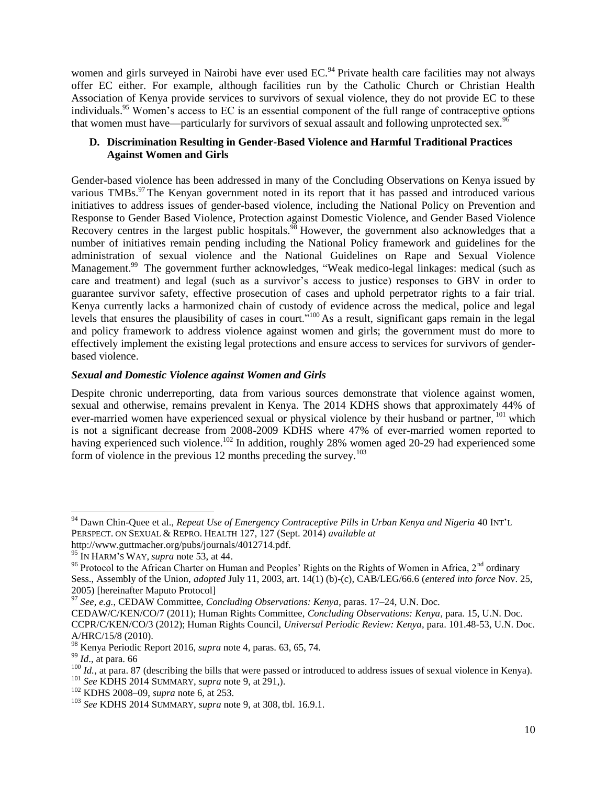women and girls surveyed in Nairobi have ever used EC.<sup>94</sup> Private health care facilities may not always offer EC either. For example, although facilities run by the Catholic Church or Christian Health Association of Kenya provide services to survivors of sexual violence, they do not provide EC to these individuals.<sup>95</sup> Women's access to EC is an essential component of the full range of contraceptive options that women must have—particularly for survivors of sexual assault and following unprotected sex.<sup>9</sup>

## **D. Discrimination Resulting in Gender-Based Violence and Harmful Traditional Practices Against Women and Girls**

Gender-based violence has been addressed in many of the Concluding Observations on Kenya issued by various TMBs.<sup>97</sup> The Kenyan government noted in its report that it has passed and introduced various initiatives to address issues of gender-based violence, including the National Policy on Prevention and Response to Gender Based Violence, Protection against Domestic Violence, and Gender Based Violence Recovery centres in the largest public hospitals.<sup>98</sup> However, the government also acknowledges that a number of initiatives remain pending including the National Policy framework and guidelines for the administration of sexual violence and the National Guidelines on Rape and Sexual Violence Management.<sup>99</sup> The government further acknowledges, "Weak medico-legal linkages: medical (such as care and treatment) and legal (such as a survivor's access to justice) responses to GBV in order to guarantee survivor safety, effective prosecution of cases and uphold perpetrator rights to a fair trial. Kenya currently lacks a harmonized chain of custody of evidence across the medical, police and legal levels that ensures the plausibility of cases in court."<sup>100</sup> As a result, significant gaps remain in the legal and policy framework to address violence against women and girls; the government must do more to effectively implement the existing legal protections and ensure access to services for survivors of genderbased violence.

## *Sexual and Domestic Violence against Women and Girls*

Despite chronic underreporting, data from various sources demonstrate that violence against women, sexual and otherwise, remains prevalent in Kenya. The 2014 KDHS shows that approximately 44% of ever-married women have experienced sexual or physical violence by their husband or partner, <sup>101</sup> which is not a significant decrease from 2008-2009 KDHS where 47% of ever-married women reported to having experienced such violence.<sup>102</sup> In addition, roughly 28% women aged 20-29 had experienced some form of violence in the previous 12 months preceding the survey.<sup>103</sup>

 $\overline{\phantom{a}}$ 

<sup>94</sup> Dawn Chin-Quee et al., *Repeat Use of Emergency Contraceptive Pills in Urban Kenya and Nigeria* 40 INT'<sup>L</sup> PERSPECT. ON SEXUAL & REPRO. HEALTH 127, 127 (Sept. 2014) *available at*

http://www.guttmacher.org/pubs/journals/4012714.pdf.

<sup>95</sup> IN HARM'S WAY, *supra* note 53, at 44.

<sup>&</sup>lt;sup>96</sup> Protocol to the African Charter on Human and Peoples' Rights on the Rights of Women in Africa, 2<sup>nd</sup> ordinary Sess., Assembly of the Union, *adopted* July 11, 2003, art. 14(1) (b)-(c), CAB/LEG/66.6 (*entered into force* Nov. 25, 2005) [hereinafter Maputo Protocol]

<sup>97</sup> *See, e.g.*, CEDAW Committee, *Concluding Observations: Kenya*, paras. 17–24, U.N. Doc.

CEDAW/C/KEN/CO/7 (2011); Human Rights Committee, *Concluding Observations: Kenya*, para. 15, U.N. Doc. CCPR/C/KEN/CO/3 (2012); Human Rights Council, *Universal Periodic Review: Kenya*, para. 101.48-53, U.N. Doc. A/HRC/15/8 (2010).

<sup>98</sup> Kenya Periodic Report 2016, *supra* note 4, paras. 63, 65, 74.

<sup>99</sup> *Id*., at para. 66

 $100$  *Id.*, at para. 87 (describing the bills that were passed or introduced to address issues of sexual violence in Kenya).

<sup>101</sup> *See* KDHS 2014 SUMMARY, *supra* note 9, at 291,).

<sup>102</sup> KDHS 2008–09, *supra* note 6, at 253.

<sup>103</sup> *See* KDHS 2014 SUMMARY, *supra* note 9, at 308, tbl. 16.9.1.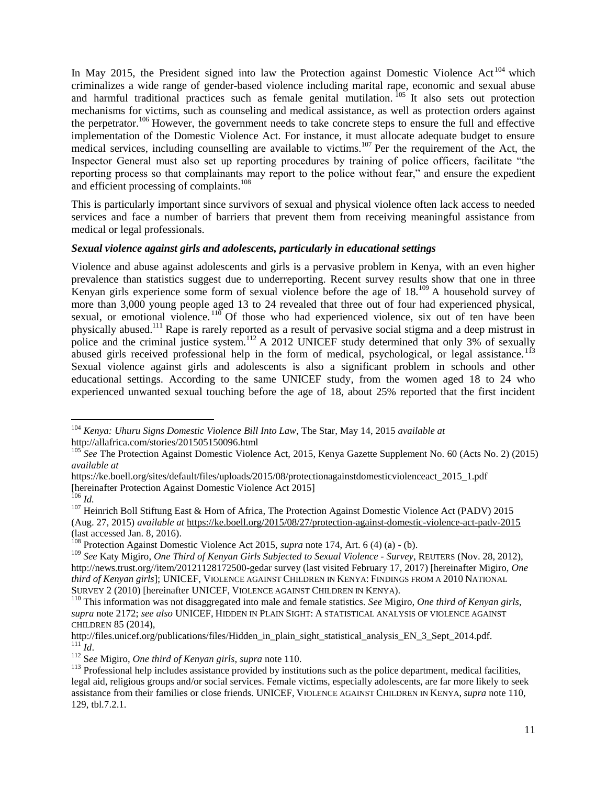In May 2015, the President signed into law the Protection against Domestic Violence Act<sup>104</sup> which criminalizes a wide range of gender-based violence including marital rape, economic and sexual abuse and harmful traditional practices such as female genital mutilation.<sup>105</sup> It also sets out protection mechanisms for victims, such as counseling and medical assistance, as well as protection orders against the perpetrator.<sup>106</sup> However, the government needs to take concrete steps to ensure the full and effective implementation of the Domestic Violence Act. For instance, it must allocate adequate budget to ensure medical services, including counselling are available to victims.<sup>107</sup> Per the requirement of the Act, the Inspector General must also set up reporting procedures by training of police officers, facilitate "the reporting process so that complainants may report to the police without fear," and ensure the expedient and efficient processing of complaints.<sup>108</sup>

This is particularly important since survivors of sexual and physical violence often lack access to needed services and face a number of barriers that prevent them from receiving meaningful assistance from medical or legal professionals.

#### *Sexual violence against girls and adolescents, particularly in educational settings*

Violence and abuse against adolescents and girls is a pervasive problem in Kenya, with an even higher prevalence than statistics suggest due to underreporting. Recent survey results show that one in three Kenyan girls experience some form of sexual violence before the age of 18.<sup>109</sup> A household survey of more than 3,000 young people aged 13 to 24 revealed that three out of four had experienced physical, sexual, or emotional violence.<sup>110</sup> Of those who had experienced violence, six out of ten have been physically abused.<sup>111</sup> Rape is rarely reported as a result of pervasive social stigma and a deep mistrust in police and the criminal justice system.<sup>112</sup> A 2012 UNICEF study determined that only 3% of sexually abused girls received professional help in the form of medical, psychological, or legal assistance.<sup>113</sup> Sexual violence against girls and adolescents is also a significant problem in schools and other educational settings. According to the same UNICEF study, from the women aged 18 to 24 who experienced unwanted sexual touching before the age of 18, about 25% reported that the first incident

 $\overline{a}$ <sup>104</sup> *Kenya: Uhuru Signs Domestic Violence Bill Into Law*, The Star, May 14, 2015 *available at*  http://allafrica.com/stories/201505150096.html

<sup>&</sup>lt;sup>105</sup> See The Protection Against Domestic Violence Act, 2015, Kenya Gazette Supplement No. 60 (Acts No. 2) (2015) *available at* 

https://ke.boell.org/sites/default/files/uploads/2015/08/protectionagainstdomesticviolenceact\_2015\_1.pdf [hereinafter Protection Against Domestic Violence Act 2015]

<sup>106</sup> *Id.*

<sup>&</sup>lt;sup>107</sup> Heinrich Boll Stiftung East & Horn of Africa, The Protection Against Domestic Violence Act (PADV) 2015 (Aug. 27, 2015) *available at* <https://ke.boell.org/2015/08/27/protection-against-domestic-violence-act-padv-2015> (last accessed Jan. 8, 2016).

<sup>108</sup> Protection Against Domestic Violence Act 2015, *supra* note 174, Art. 6 (4) (a) - (b).

<sup>109</sup> *See* Katy Migiro, *One Third of Kenyan Girls Subjected to Sexual Violence - Survey*, REUTERS (Nov. 28, 2012), http://news.trust.org//item/20121128172500-gedar survey (last visited February 17, 2017) [hereinafter Migiro, *One third of Kenyan girls*]; UNICEF, VIOLENCE AGAINST CHILDREN IN KENYA: FINDINGS FROM A 2010 NATIONAL SURVEY 2 (2010) [hereinafter UNICEF, VIOLENCE AGAINST CHILDREN IN KENYA).

<sup>110</sup> This information was not disaggregated into male and female statistics. *See* Migiro, *One third of Kenyan girls*, *supra* note 2172; *see also* UNICEF, HIDDEN IN PLAIN SIGHT: A STATISTICAL ANALYSIS OF VIOLENCE AGAINST CHILDREN 85 (2014),

http://files.unicef.org/publications/files/Hidden\_in\_plain\_sight\_statistical\_analysis\_EN\_3\_Sept\_2014.pdf.  $\dddot{M}$ *III*  $\dddot{M}$ .

<sup>112</sup> S*ee* Migiro, *One third of Kenyan girls*, *supra* note 110.

<sup>&</sup>lt;sup>113</sup> Professional help includes assistance provided by institutions such as the police department, medical facilities, legal aid, religious groups and/or social services. Female victims, especially adolescents, are far more likely to seek assistance from their families or close friends. UNICEF, VIOLENCE AGAINST CHILDREN IN KENYA, *supra* note 110, 129, tbl.7.2.1.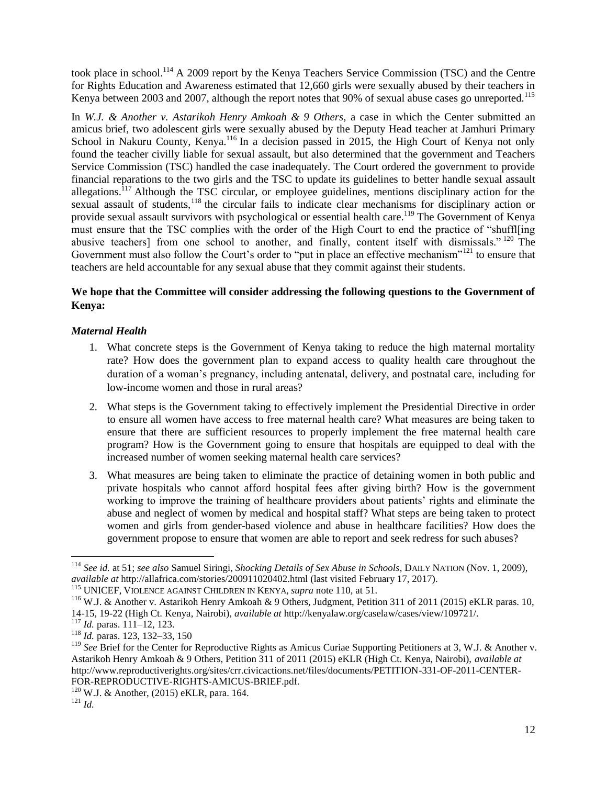took place in school.<sup>114</sup> A 2009 report by the Kenya Teachers Service Commission (TSC) and the Centre for Rights Education and Awareness estimated that 12,660 girls were sexually abused by their teachers in Kenya between 2003 and 2007, although the report notes that 90% of sexual abuse cases go unreported.<sup>115</sup>

In *W.J. & Another v. Astarikoh Henry Amkoah & 9 Others*, a case in which the Center submitted an amicus brief, two adolescent girls were sexually abused by the Deputy Head teacher at Jamhuri Primary School in Nakuru County, Kenya.<sup>116</sup> In a decision passed in 2015, the High Court of Kenya not only found the teacher civilly liable for sexual assault, but also determined that the government and Teachers Service Commission (TSC) handled the case inadequately. The Court ordered the government to provide financial reparations to the two girls and the TSC to update its guidelines to better handle sexual assault allegations.<sup>117</sup> Although the TSC circular, or employee guidelines, mentions disciplinary action for the sexual assault of students,<sup>118</sup> the circular fails to indicate clear mechanisms for disciplinary action or provide sexual assault survivors with psychological or essential health care.<sup>119</sup> The Government of Kenya must ensure that the TSC complies with the order of the High Court to end the practice of "shuffl[ing abusive teachers] from one school to another, and finally, content itself with dismissals." <sup>120</sup> The Government must also follow the Court's order to "put in place an effective mechanism"<sup>121</sup> to ensure that teachers are held accountable for any sexual abuse that they commit against their students.

# **We hope that the Committee will consider addressing the following questions to the Government of Kenya:**

## *Maternal Health*

- 1. What concrete steps is the Government of Kenya taking to reduce the high maternal mortality rate? How does the government plan to expand access to quality health care throughout the duration of a woman's pregnancy, including antenatal, delivery, and postnatal care, including for low-income women and those in rural areas?
- 2. What steps is the Government taking to effectively implement the Presidential Directive in order to ensure all women have access to free maternal health care? What measures are being taken to ensure that there are sufficient resources to properly implement the free maternal health care program? How is the Government going to ensure that hospitals are equipped to deal with the increased number of women seeking maternal health care services?
- 3. What measures are being taken to eliminate the practice of detaining women in both public and private hospitals who cannot afford hospital fees after giving birth? How is the government working to improve the training of healthcare providers about patients' rights and eliminate the abuse and neglect of women by medical and hospital staff? What steps are being taken to protect women and girls from gender-based violence and abuse in healthcare facilities? How does the government propose to ensure that women are able to report and seek redress for such abuses?

<sup>114</sup> *See id.* at 51; *see also* Samuel Siringi, *Shocking Details of Sex Abuse in Schools*, DAILY NATION (Nov. 1, 2009), *available at* http://allafrica.com/stories/200911020402.html (last visited February 17, 2017).

<sup>115</sup> UNICEF, VIOLENCE AGAINST CHILDREN IN KENYA, *supra* note 110, at 51.

<sup>116</sup> W.J. & Another v. Astarikoh Henry Amkoah & 9 Others, Judgment, Petition 311 of 2011 (2015) eKLR paras. 10, 14-15, 19-22 (High Ct. Kenya, Nairobi), *available at* http://kenyalaw.org/caselaw/cases/view/109721/.

<sup>117</sup> *Id.* paras. 111–12, 123.

<sup>118</sup> *Id.* paras. 123, 132–33, 150

<sup>&</sup>lt;sup>119</sup> See Brief for the Center for Reproductive Rights as Amicus Curiae Supporting Petitioners at 3, W.J. & Another v. Astarikoh Henry Amkoah & 9 Others, Petition 311 of 2011 (2015) eKLR (High Ct. Kenya, Nairobi), *available at*  http://www.reproductiverights.org/sites/crr.civicactions.net/files/documents/PETITION-331-OF-2011-CENTER-FOR-REPRODUCTIVE-RIGHTS-AMICUS-BRIEF.pdf.

 $120$  W.J. & Another, (2015) eKLR, para. 164.

<sup>121</sup> *Id.*